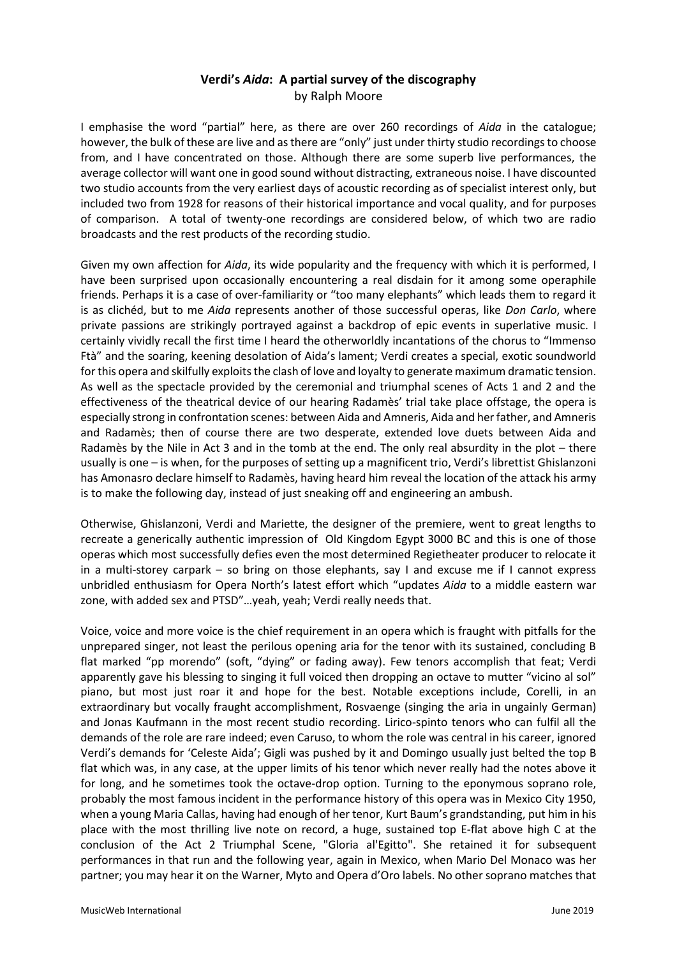# **Verdi's** *Aida***: A partial survey of the discography** by Ralph Moore

I emphasise the word "partial" here, as there are over 260 recordings of *Aida* in the catalogue; however, the bulk of these are live and as there are "only" just under thirty studio recordings to choose from, and I have concentrated on those. Although there are some superb live performances, the average collector will want one in good sound without distracting, extraneous noise. I have discounted two studio accounts from the very earliest days of acoustic recording as of specialist interest only, but included two from 1928 for reasons of their historical importance and vocal quality, and for purposes of comparison. A total of twenty-one recordings are considered below, of which two are radio broadcasts and the rest products of the recording studio.

Given my own affection for *Aida*, its wide popularity and the frequency with which it is performed, I have been surprised upon occasionally encountering a real disdain for it among some operaphile friends. Perhaps it is a case of over-familiarity or "too many elephants" which leads them to regard it is as clichéd, but to me *Aida* represents another of those successful operas, like *Don Carlo*, where private passions are strikingly portrayed against a backdrop of epic events in superlative music. I certainly vividly recall the first time I heard the otherworldly incantations of the chorus to "Immenso Ftà" and the soaring, keening desolation of Aida's lament; Verdi creates a special, exotic soundworld for this opera and skilfully exploits the clash of love and loyalty to generate maximum dramatic tension. As well as the spectacle provided by the ceremonial and triumphal scenes of Acts 1 and 2 and the effectiveness of the theatrical device of our hearing Radamès' trial take place offstage, the opera is especially strong in confrontation scenes: between Aida and Amneris, Aida and her father, and Amneris and Radamès; then of course there are two desperate, extended love duets between Aida and Radamès by the Nile in Act 3 and in the tomb at the end. The only real absurdity in the plot – there usually is one – is when, for the purposes of setting up a magnificent trio, Verdi's librettist Ghislanzoni has Amonasro declare himself to Radamès, having heard him reveal the location of the attack his army is to make the following day, instead of just sneaking off and engineering an ambush.

Otherwise, Ghislanzoni, Verdi and Mariette, the designer of the premiere, went to great lengths to recreate a generically authentic impression of Old Kingdom Egypt 3000 BC and this is one of those operas which most successfully defies even the most determined Regietheater producer to relocate it in a multi-storey carpark – so bring on those elephants, say I and excuse me if I cannot express unbridled enthusiasm for Opera North's latest effort which "updates *Aida* to a middle eastern war zone, with added sex and PTSD"…yeah, yeah; Verdi really needs that.

Voice, voice and more voice is the chief requirement in an opera which is fraught with pitfalls for the unprepared singer, not least the perilous opening aria for the tenor with its sustained, concluding B flat marked "pp morendo" (soft, "dying" or fading away). Few tenors accomplish that feat; Verdi apparently gave his blessing to singing it full voiced then dropping an octave to mutter "vicino al sol" piano, but most just roar it and hope for the best. Notable exceptions include, Corelli, in an extraordinary but vocally fraught accomplishment, Rosvaenge (singing the aria in ungainly German) and Jonas Kaufmann in the most recent studio recording. Lirico-spinto tenors who can fulfil all the demands of the role are rare indeed; even Caruso, to whom the role was central in his career, ignored Verdi's demands for 'Celeste Aida'; Gigli was pushed by it and Domingo usually just belted the top B flat which was, in any case, at the upper limits of his tenor which never really had the notes above it for long, and he sometimes took the octave-drop option. Turning to the eponymous soprano role, probably the most famous incident in the performance history of this opera was in Mexico City 1950, when a young Maria Callas, having had enough of her tenor, Kurt Baum's grandstanding, put him in his place with the most thrilling live note on record, a huge, sustained top E-flat above high C at the conclusion of the Act 2 Triumphal Scene, "Gloria al'Egitto". She retained it for subsequent performances in that run and the following year, again in Mexico, when Mario Del Monaco was her partner; you may hear it on the Warner, Myto and Opera d'Oro labels. No other soprano matches that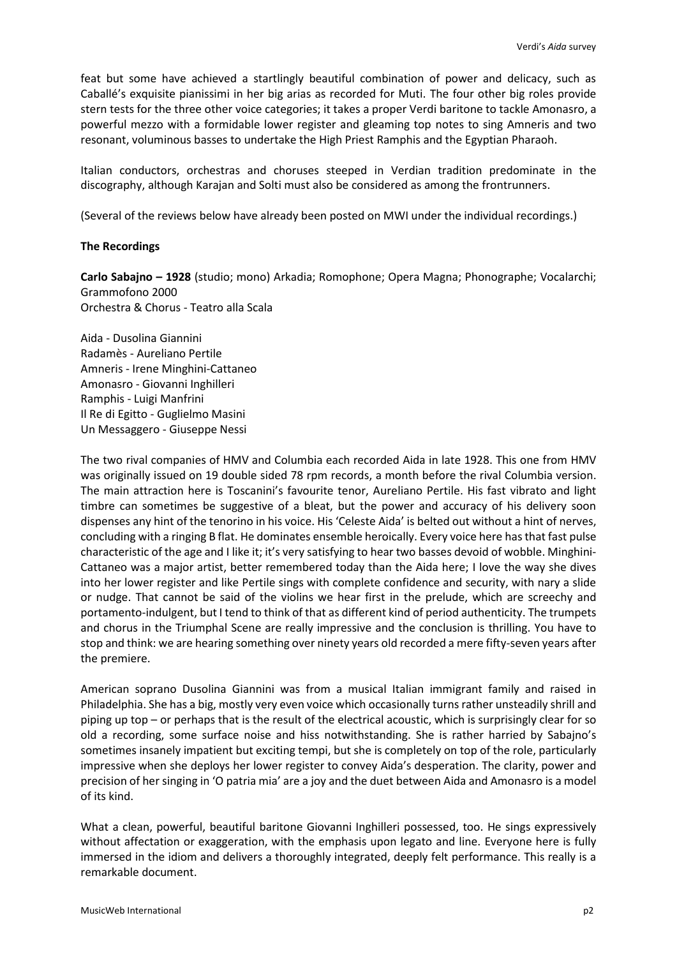feat but some have achieved a startlingly beautiful combination of power and delicacy, such as Caballé's exquisite pianissimi in her big arias as recorded for Muti. The four other big roles provide stern tests for the three other voice categories; it takes a proper Verdi baritone to tackle Amonasro, a powerful mezzo with a formidable lower register and gleaming top notes to sing Amneris and two resonant, voluminous basses to undertake the High Priest Ramphis and the Egyptian Pharaoh.

Italian conductors, orchestras and choruses steeped in Verdian tradition predominate in the discography, although Karajan and Solti must also be considered as among the frontrunners.

(Several of the reviews below have already been posted on MWI under the individual recordings.)

## **The Recordings**

**Carlo Sabajno – 1928** (studio; mono) Arkadia; Romophone; Opera Magna; Phonographe; Vocalarchi; Grammofono 2000 Orchestra & Chorus - Teatro alla Scala

Aida - Dusolina Giannini Radamès - Aureliano Pertile Amneris - Irene Minghini-Cattaneo Amonasro - Giovanni Inghilleri Ramphis - Luigi Manfrini Il Re di Egitto - Guglielmo Masini Un Messaggero - Giuseppe Nessi

The two rival companies of HMV and Columbia each recorded Aida in late 1928. This one from HMV was originally issued on 19 double sided 78 rpm records, a month before the rival Columbia version. The main attraction here is Toscanini's favourite tenor, Aureliano Pertile. His fast vibrato and light timbre can sometimes be suggestive of a bleat, but the power and accuracy of his delivery soon dispenses any hint of the tenorino in his voice. His 'Celeste Aida' is belted out without a hint of nerves, concluding with a ringing B flat. He dominates ensemble heroically. Every voice here has that fast pulse characteristic of the age and I like it; it's very satisfying to hear two basses devoid of wobble. Minghini-Cattaneo was a major artist, better remembered today than the Aida here; I love the way she dives into her lower register and like Pertile sings with complete confidence and security, with nary a slide or nudge. That cannot be said of the violins we hear first in the prelude, which are screechy and portamento-indulgent, but I tend to think of that as different kind of period authenticity. The trumpets and chorus in the Triumphal Scene are really impressive and the conclusion is thrilling. You have to stop and think: we are hearing something over ninety years old recorded a mere fifty-seven years after the premiere.

American soprano Dusolina Giannini was from a musical Italian immigrant family and raised in Philadelphia. She has a big, mostly very even voice which occasionally turns rather unsteadily shrill and piping up top – or perhaps that is the result of the electrical acoustic, which is surprisingly clear for so old a recording, some surface noise and hiss notwithstanding. She is rather harried by Sabajno's sometimes insanely impatient but exciting tempi, but she is completely on top of the role, particularly impressive when she deploys her lower register to convey Aida's desperation. The clarity, power and precision of her singing in 'O patria mia' are a joy and the duet between Aida and Amonasro is a model of its kind.

What a clean, powerful, beautiful baritone Giovanni Inghilleri possessed, too. He sings expressively without affectation or exaggeration, with the emphasis upon legato and line. Everyone here is fully immersed in the idiom and delivers a thoroughly integrated, deeply felt performance. This really is a remarkable document.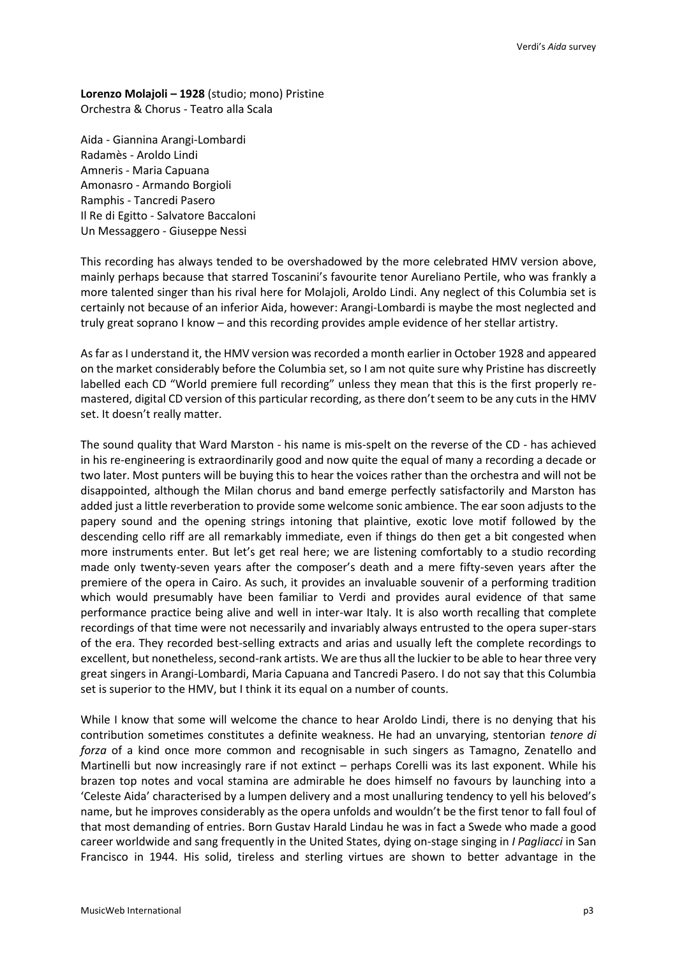**Lorenzo Molajoli – 1928** (studio; mono) Pristine Orchestra & Chorus - Teatro alla Scala

Aida - Giannina Arangi-Lombardi Radamès - Aroldo Lindi Amneris - Maria Capuana Amonasro - Armando Borgioli Ramphis - Tancredi Pasero Il Re di Egitto - Salvatore Baccaloni Un Messaggero - Giuseppe Nessi

This recording has always tended to be overshadowed by the more celebrated HMV version above, mainly perhaps because that starred Toscanini's favourite tenor Aureliano Pertile, who was frankly a more talented singer than his rival here for Molajoli, Aroldo Lindi. Any neglect of this Columbia set is certainly not because of an inferior Aida, however: Arangi-Lombardi is maybe the most neglected and truly great soprano I know – and this recording provides ample evidence of her stellar artistry.

As far as I understand it, the HMV version was recorded a month earlier in October 1928 and appeared on the market considerably before the Columbia set, so I am not quite sure why Pristine has discreetly labelled each CD "World premiere full recording" unless they mean that this is the first properly remastered, digital CD version of this particular recording, as there don't seem to be any cuts in the HMV set. It doesn't really matter.

The sound quality that Ward Marston - his name is mis-spelt on the reverse of the CD - has achieved in his re-engineering is extraordinarily good and now quite the equal of many a recording a decade or two later. Most punters will be buying this to hear the voices rather than the orchestra and will not be disappointed, although the Milan chorus and band emerge perfectly satisfactorily and Marston has added just a little reverberation to provide some welcome sonic ambience. The ear soon adjusts to the papery sound and the opening strings intoning that plaintive, exotic love motif followed by the descending cello riff are all remarkably immediate, even if things do then get a bit congested when more instruments enter. But let's get real here; we are listening comfortably to a studio recording made only twenty-seven years after the composer's death and a mere fifty-seven years after the premiere of the opera in Cairo. As such, it provides an invaluable souvenir of a performing tradition which would presumably have been familiar to Verdi and provides aural evidence of that same performance practice being alive and well in inter-war Italy. It is also worth recalling that complete recordings of that time were not necessarily and invariably always entrusted to the opera super-stars of the era. They recorded best-selling extracts and arias and usually left the complete recordings to excellent, but nonetheless, second-rank artists. We are thus all the luckier to be able to hear three very great singers in Arangi-Lombardi, Maria Capuana and Tancredi Pasero. I do not say that this Columbia set is superior to the HMV, but I think it its equal on a number of counts.

While I know that some will welcome the chance to hear Aroldo Lindi, there is no denying that his contribution sometimes constitutes a definite weakness. He had an unvarying, stentorian *tenore di forza* of a kind once more common and recognisable in such singers as Tamagno, Zenatello and Martinelli but now increasingly rare if not extinct – perhaps Corelli was its last exponent. While his brazen top notes and vocal stamina are admirable he does himself no favours by launching into a 'Celeste Aida' characterised by a lumpen delivery and a most unalluring tendency to yell his beloved's name, but he improves considerably as the opera unfolds and wouldn't be the first tenor to fall foul of that most demanding of entries. Born Gustav Harald Lindau he was in fact a Swede who made a good career worldwide and sang frequently in the United States, dying on-stage singing in *I Pagliacci* in San Francisco in 1944. His solid, tireless and sterling virtues are shown to better advantage in the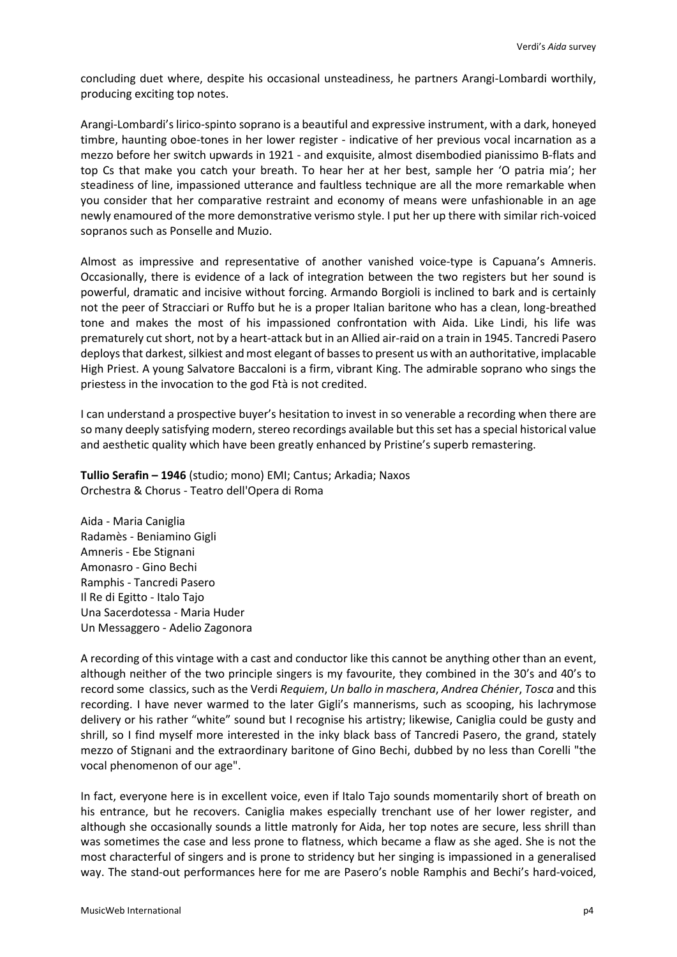concluding duet where, despite his occasional unsteadiness, he partners Arangi-Lombardi worthily, producing exciting top notes.

Arangi-Lombardi's lirico-spinto soprano is a beautiful and expressive instrument, with a dark, honeyed timbre, haunting oboe-tones in her lower register - indicative of her previous vocal incarnation as a mezzo before her switch upwards in 1921 - and exquisite, almost disembodied pianissimo B-flats and top Cs that make you catch your breath. To hear her at her best, sample her 'O patria mia'; her steadiness of line, impassioned utterance and faultless technique are all the more remarkable when you consider that her comparative restraint and economy of means were unfashionable in an age newly enamoured of the more demonstrative verismo style. I put her up there with similar rich-voiced sopranos such as Ponselle and Muzio.

Almost as impressive and representative of another vanished voice-type is Capuana's Amneris. Occasionally, there is evidence of a lack of integration between the two registers but her sound is powerful, dramatic and incisive without forcing. Armando Borgioli is inclined to bark and is certainly not the peer of Stracciari or Ruffo but he is a proper Italian baritone who has a clean, long-breathed tone and makes the most of his impassioned confrontation with Aida. Like Lindi, his life was prematurely cut short, not by a heart-attack but in an Allied air-raid on a train in 1945. Tancredi Pasero deploys that darkest, silkiest and most elegant of basses to present us with an authoritative, implacable High Priest. A young Salvatore Baccaloni is a firm, vibrant King. The admirable soprano who sings the priestess in the invocation to the god Ftà is not credited.

I can understand a prospective buyer's hesitation to invest in so venerable a recording when there are so many deeply satisfying modern, stereo recordings available but this set has a special historical value and aesthetic quality which have been greatly enhanced by Pristine's superb remastering.

**Tullio Serafin – 1946** (studio; mono) EMI; Cantus; Arkadia; Naxos Orchestra & Chorus - Teatro dell'Opera di Roma

Aida - Maria Caniglia Radamès - Beniamino Gigli Amneris - Ebe Stignani Amonasro - Gino Bechi Ramphis - Tancredi Pasero Il Re di Egitto - Italo Tajo Una Sacerdotessa - Maria Huder Un Messaggero - Adelio Zagonora

A recording of this vintage with a cast and conductor like this cannot be anything other than an event, although neither of the two principle singers is my favourite, they combined in the 30's and 40's to record some classics, such as the Verdi *Requiem*, *Un ballo in maschera*, *Andrea Chénier*, *Tosca* and this recording. I have never warmed to the later Gigli's mannerisms, such as scooping, his lachrymose delivery or his rather "white" sound but I recognise his artistry; likewise, Caniglia could be gusty and shrill, so I find myself more interested in the inky black bass of Tancredi Pasero, the grand, stately mezzo of Stignani and the extraordinary baritone of Gino Bechi, dubbed by no less than Corelli "the vocal phenomenon of our age".

In fact, everyone here is in excellent voice, even if Italo Tajo sounds momentarily short of breath on his entrance, but he recovers. Caniglia makes especially trenchant use of her lower register, and although she occasionally sounds a little matronly for Aida, her top notes are secure, less shrill than was sometimes the case and less prone to flatness, which became a flaw as she aged. She is not the most characterful of singers and is prone to stridency but her singing is impassioned in a generalised way. The stand-out performances here for me are Pasero's noble Ramphis and Bechi's hard-voiced,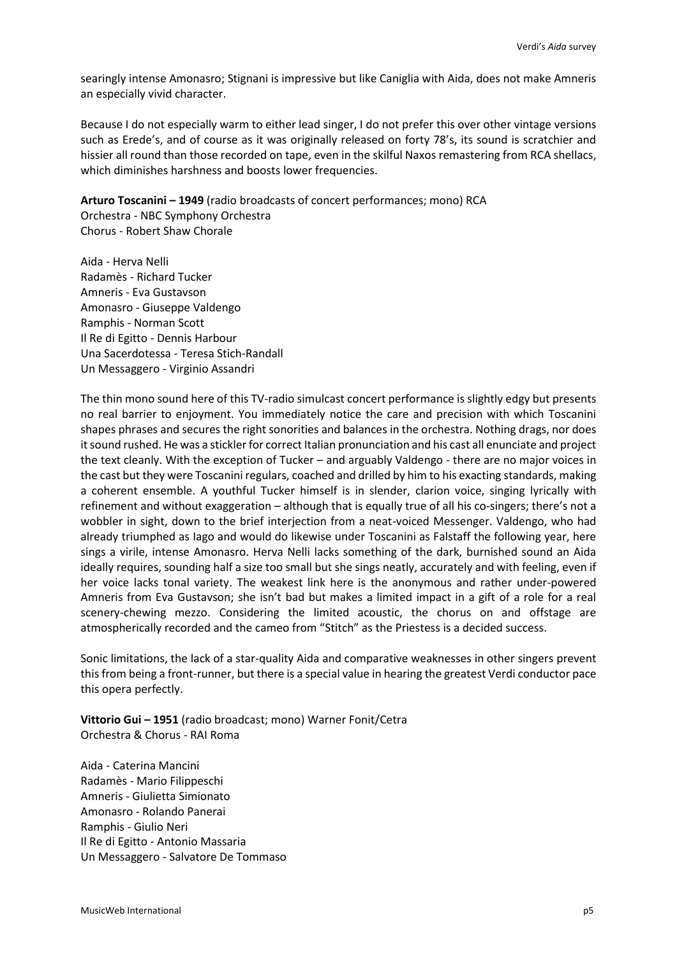searingly intense Amonasro; Stignani is impressive but like Caniglia with Aida, does not make Amneris an especially vivid character.

Because I do not especially warm to either lead singer, I do not prefer this over other vintage versions such as Erede's, and of course as it was originally released on forty 78's, its sound is scratchier and hissier all round than those recorded on tape, even in the skilful Naxos remastering from RCA shellacs, which diminishes harshness and boosts lower frequencies.

**Arturo Toscanini – 1949** (radio broadcasts of concert performances; mono) RCA Orchestra - NBC Symphony Orchestra

Chorus - Robert Shaw Chorale

Aida - Herva Nelli Radamès - Richard Tucker Amneris - Eva Gustavson Amonasro - Giuseppe Valdengo Ramphis - Norman Scott Il Re di Egitto - Dennis Harbour Una Sacerdotessa - Teresa Stich-Randall Un Messaggero - Virginio Assandri

The thin mono sound here of this TV-radio simulcast concert performance is slightly edgy but presents no real barrier to enjoyment. You immediately notice the care and precision with which Toscanini shapes phrases and secures the right sonorities and balances in the orchestra. Nothing drags, nor does it sound rushed. He was a stickler for correct Italian pronunciation and his cast all enunciate and project the text cleanly. With the exception of Tucker – and arguably Valdengo - there are no major voices in the cast but they were Toscanini regulars, coached and drilled by him to his exacting standards, making a coherent ensemble. A youthful Tucker himself is in slender, clarion voice, singing lyrically with refinement and without exaggeration – although that is equally true of all his co-singers; there's not a wobbler in sight, down to the brief interjection from a neat-voiced Messenger. Valdengo, who had already triumphed as Iago and would do likewise under Toscanini as Falstaff the following year, here sings a virile, intense Amonasro. Herva Nelli lacks something of the dark, burnished sound an Aida ideally requires, sounding half a size too small but she sings neatly, accurately and with feeling, even if her voice lacks tonal variety. The weakest link here is the anonymous and rather under-powered Amneris from Eva Gustavson; she isn't bad but makes a limited impact in a gift of a role for a real scenery-chewing mezzo. Considering the limited acoustic, the chorus on and offstage are atmospherically recorded and the cameo from "Stitch" as the Priestess is a decided success.

Sonic limitations, the lack of a star-quality Aida and comparative weaknesses in other singers prevent this from being a front-runner, but there is a special value in hearing the greatest Verdi conductor pace this opera perfectly.

Vittorio Gui - 1951 (radio broadcast; mono) Warner Fonit/Cetra Orchestra & Chorus - RAI Roma

Aida - Caterina Mancini Radamès - Mario Filippeschi Amneris - Giulietta Simionato Amonasro - Rolando Panerai Ramphis - Giulio Neri Il Re di Egitto - Antonio Massaria Un Messaggero - Salvatore De Tommaso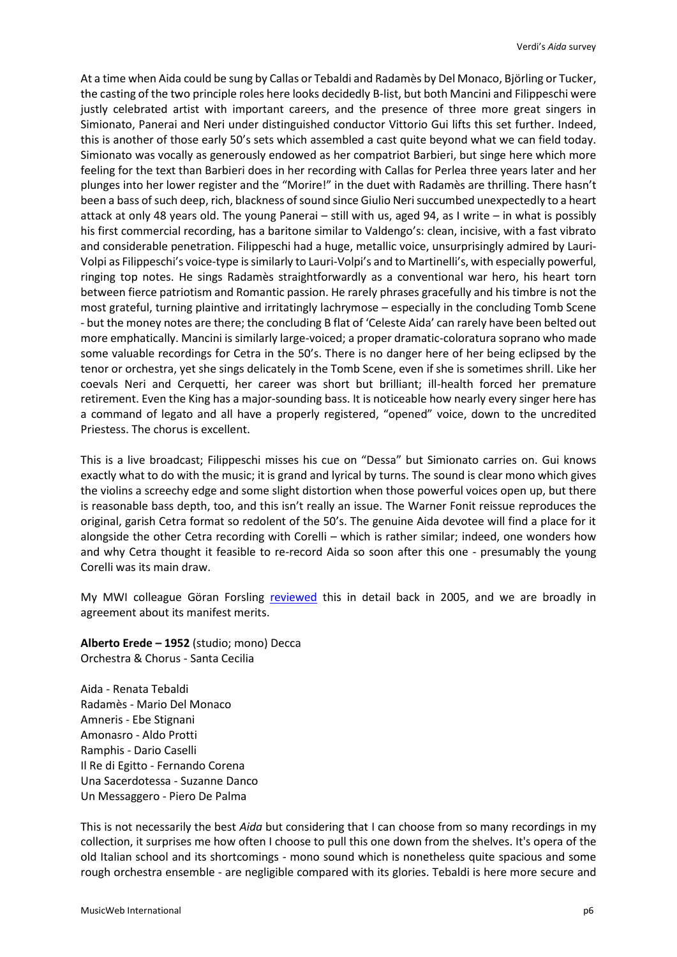At a time when Aida could be sung by Callas or Tebaldi and Radamès by Del Monaco, Björling or Tucker, the casting of the two principle roles here looks decidedly B-list, but both Mancini and Filippeschi were justly celebrated artist with important careers, and the presence of three more great singers in Simionato, Panerai and Neri under distinguished conductor Vittorio Gui lifts this set further. Indeed, this is another of those early 50's sets which assembled a cast quite beyond what we can field today. Simionato was vocally as generously endowed as her compatriot Barbieri, but singe here which more feeling for the text than Barbieri does in her recording with Callas for Perlea three years later and her plunges into her lower register and the "Morire!" in the duet with Radamès are thrilling. There hasn't been a bass of such deep, rich, blackness of sound since Giulio Neri succumbed unexpectedly to a heart attack at only 48 years old. The young Panerai – still with us, aged 94, as I write – in what is possibly his first commercial recording, has a baritone similar to Valdengo's: clean, incisive, with a fast vibrato and considerable penetration. Filippeschi had a huge, metallic voice, unsurprisingly admired by Lauri-Volpi as Filippeschi's voice-type is similarly to Lauri-Volpi's and to Martinelli's, with especially powerful, ringing top notes. He sings Radamès straightforwardly as a conventional war hero, his heart torn between fierce patriotism and Romantic passion. He rarely phrases gracefully and his timbre is not the most grateful, turning plaintive and irritatingly lachrymose – especially in the concluding Tomb Scene - but the money notes are there; the concluding B flat of 'Celeste Aida' can rarely have been belted out more emphatically. Mancini is similarly large-voiced; a proper dramatic-coloratura soprano who made some valuable recordings for Cetra in the 50's. There is no danger here of her being eclipsed by the tenor or orchestra, yet she sings delicately in the Tomb Scene, even if she is sometimes shrill. Like her coevals Neri and Cerquetti, her career was short but brilliant; ill-health forced her premature retirement. Even the King has a major-sounding bass. It is noticeable how nearly every singer here has a command of legato and all have a properly registered, "opened" voice, down to the uncredited Priestess. The chorus is excellent.

This is a live broadcast; Filippeschi misses his cue on "Dessa" but Simionato carries on. Gui knows exactly what to do with the music; it is grand and lyrical by turns. The sound is clear mono which gives the violins a screechy edge and some slight distortion when those powerful voices open up, but there is reasonable bass depth, too, and this isn't really an issue. The Warner Fonit reissue reproduces the original, garish Cetra format so redolent of the 50's. The genuine Aida devotee will find a place for it alongside the other Cetra recording with Corelli – which is rather similar; indeed, one wonders how and why Cetra thought it feasible to re-record Aida so soon after this one - presumably the young Corelli was its main draw.

My MWI colleague Göran Forsling [reviewed](http://www.musicweb-international.com/classrev/2005/July05/verdi_aida_5046779182.htm) this in detail back in 2005, and we are broadly in agreement about its manifest merits.

**Alberto Erede – 1952** (studio; mono) Decca Orchestra & Chorus - Santa Cecilia

Aida - Renata Tebaldi Radamès - Mario Del Monaco Amneris - Ebe Stignani Amonasro - Aldo Protti Ramphis - Dario Caselli Il Re di Egitto - Fernando Corena Una Sacerdotessa - Suzanne Danco Un Messaggero - Piero De Palma

This is not necessarily the best *Aida* but considering that I can choose from so many recordings in my collection, it surprises me how often I choose to pull this one down from the shelves. It's opera of the old Italian school and its shortcomings - mono sound which is nonetheless quite spacious and some rough orchestra ensemble - are negligible compared with its glories. Tebaldi is here more secure and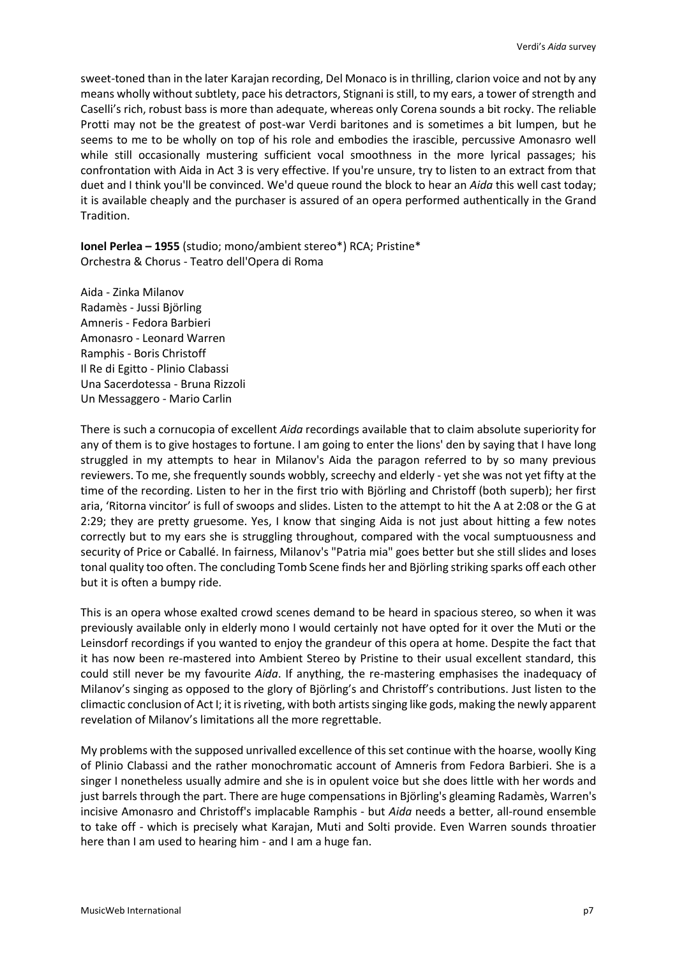sweet-toned than in the later Karajan recording, Del Monaco is in thrilling, clarion voice and not by any means wholly without subtlety, pace his detractors, Stignani is still, to my ears, a tower of strength and Caselli's rich, robust bass is more than adequate, whereas only Corena sounds a bit rocky. The reliable Protti may not be the greatest of post-war Verdi baritones and is sometimes a bit lumpen, but he seems to me to be wholly on top of his role and embodies the irascible, percussive Amonasro well while still occasionally mustering sufficient vocal smoothness in the more lyrical passages; his confrontation with Aida in Act 3 is very effective. If you're unsure, try to listen to an extract from that duet and I think you'll be convinced. We'd queue round the block to hear an *Aida* this well cast today; it is available cheaply and the purchaser is assured of an opera performed authentically in the Grand Tradition.

**Ionel Perlea – 1955** (studio; mono/ambient stereo\*) RCA; Pristine\* Orchestra & Chorus - Teatro dell'Opera di Roma

Aida - Zinka Milanov Radamès - Jussi Björling Amneris - Fedora Barbieri Amonasro - Leonard Warren Ramphis - Boris Christoff Il Re di Egitto - Plinio Clabassi Una Sacerdotessa - Bruna Rizzoli Un Messaggero - Mario Carlin

There is such a cornucopia of excellent *Aida* recordings available that to claim absolute superiority for any of them is to give hostages to fortune. I am going to enter the lions' den by saying that I have long struggled in my attempts to hear in Milanov's Aida the paragon referred to by so many previous reviewers. To me, she frequently sounds wobbly, screechy and elderly - yet she was not yet fifty at the time of the recording. Listen to her in the first trio with Björling and Christoff (both superb); her first aria, 'Ritorna vincitor' is full of swoops and slides. Listen to the attempt to hit the A at 2:08 or the G at 2:29; they are pretty gruesome. Yes, I know that singing Aida is not just about hitting a few notes correctly but to my ears she is struggling throughout, compared with the vocal sumptuousness and security of Price or Caballé. In fairness, Milanov's "Patria mia" goes better but she still slides and loses tonal quality too often. The concluding Tomb Scene finds her and Björling striking sparks off each other but it is often a bumpy ride.

This is an opera whose exalted crowd scenes demand to be heard in spacious stereo, so when it was previously available only in elderly mono I would certainly not have opted for it over the Muti or the Leinsdorf recordings if you wanted to enjoy the grandeur of this opera at home. Despite the fact that it has now been re-mastered into Ambient Stereo by Pristine to their usual excellent standard, this could still never be my favourite *Aida*. If anything, the re-mastering emphasises the inadequacy of Milanov's singing as opposed to the glory of Björling's and Christoff's contributions. Just listen to the climactic conclusion of Act I; it is riveting, with both artists singing like gods, making the newly apparent revelation of Milanov's limitations all the more regrettable.

My problems with the supposed unrivalled excellence of this set continue with the hoarse, woolly King of Plinio Clabassi and the rather monochromatic account of Amneris from Fedora Barbieri. She is a singer I nonetheless usually admire and she is in opulent voice but she does little with her words and just barrels through the part. There are huge compensations in Björling's gleaming Radamès, Warren's incisive Amonasro and Christoff's implacable Ramphis - but *Aida* needs a better, all-round ensemble to take off - which is precisely what Karajan, Muti and Solti provide. Even Warren sounds throatier here than I am used to hearing him - and I am a huge fan.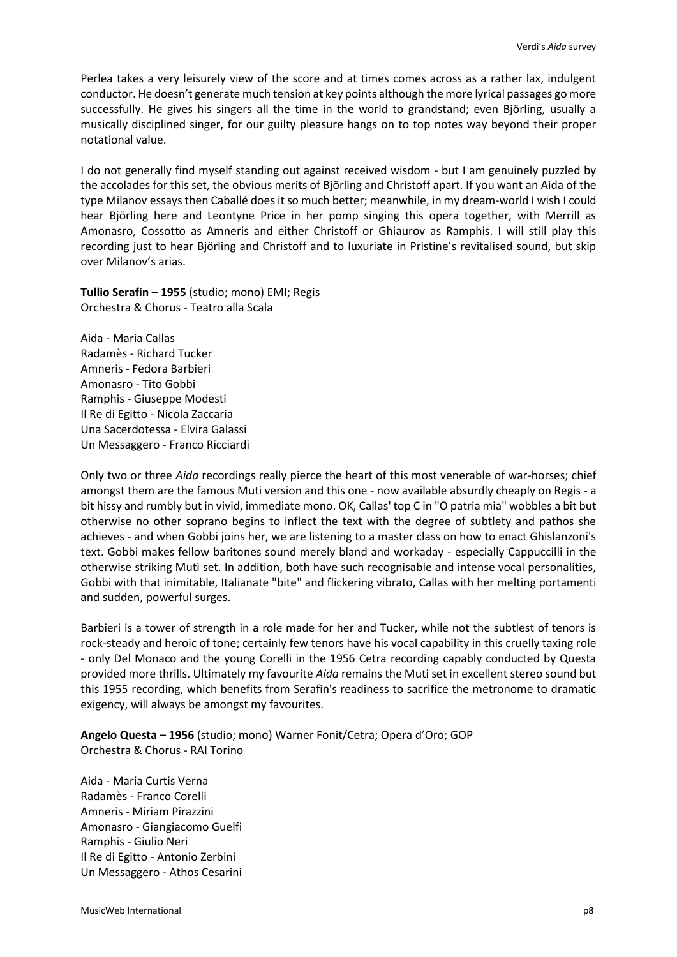Perlea takes a very leisurely view of the score and at times comes across as a rather lax, indulgent conductor. He doesn't generate much tension at key points although the more lyrical passages go more successfully. He gives his singers all the time in the world to grandstand; even Björling, usually a musically disciplined singer, for our guilty pleasure hangs on to top notes way beyond their proper notational value.

I do not generally find myself standing out against received wisdom - but I am genuinely puzzled by the accolades for this set, the obvious merits of Björling and Christoff apart. If you want an Aida of the type Milanov essays then Caballé does it so much better; meanwhile, in my dream-world I wish I could hear Björling here and Leontyne Price in her pomp singing this opera together, with Merrill as Amonasro, Cossotto as Amneris and either Christoff or Ghiaurov as Ramphis. I will still play this recording just to hear Björling and Christoff and to luxuriate in Pristine's revitalised sound, but skip over Milanov's arias.

**Tullio Serafin – 1955** (studio; mono) EMI; Regis Orchestra & Chorus - Teatro alla Scala

Aida - Maria Callas Radamès - Richard Tucker Amneris - Fedora Barbieri Amonasro - Tito Gobbi Ramphis - Giuseppe Modesti Il Re di Egitto - Nicola Zaccaria Una Sacerdotessa - Elvira Galassi Un Messaggero - Franco Ricciardi

Only two or three *Aida* recordings really pierce the heart of this most venerable of war-horses; chief amongst them are the famous Muti version and this one - now available absurdly cheaply on Regis - a bit hissy and rumbly but in vivid, immediate mono. OK, Callas' top C in "O patria mia" wobbles a bit but otherwise no other soprano begins to inflect the text with the degree of subtlety and pathos she achieves - and when Gobbi joins her, we are listening to a master class on how to enact Ghislanzoni's text. Gobbi makes fellow baritones sound merely bland and workaday - especially Cappuccilli in the otherwise striking Muti set. In addition, both have such recognisable and intense vocal personalities, Gobbi with that inimitable, Italianate "bite" and flickering vibrato, Callas with her melting portamenti and sudden, powerful surges.

Barbieri is a tower of strength in a role made for her and Tucker, while not the subtlest of tenors is rock-steady and heroic of tone; certainly few tenors have his vocal capability in this cruelly taxing role - only Del Monaco and the young Corelli in the 1956 Cetra recording capably conducted by Questa provided more thrills. Ultimately my favourite *Aida* remains the Muti set in excellent stereo sound but this 1955 recording, which benefits from Serafin's readiness to sacrifice the metronome to dramatic exigency, will always be amongst my favourites.

**Angelo Questa – 1956** (studio; mono) Warner Fonit/Cetra; Opera d'Oro; GOP Orchestra & Chorus - RAI Torino

Aida - Maria Curtis Verna Radamès - Franco Corelli Amneris - Miriam Pirazzini Amonasro - Giangiacomo Guelfi Ramphis - Giulio Neri Il Re di Egitto - Antonio Zerbini Un Messaggero - Athos Cesarini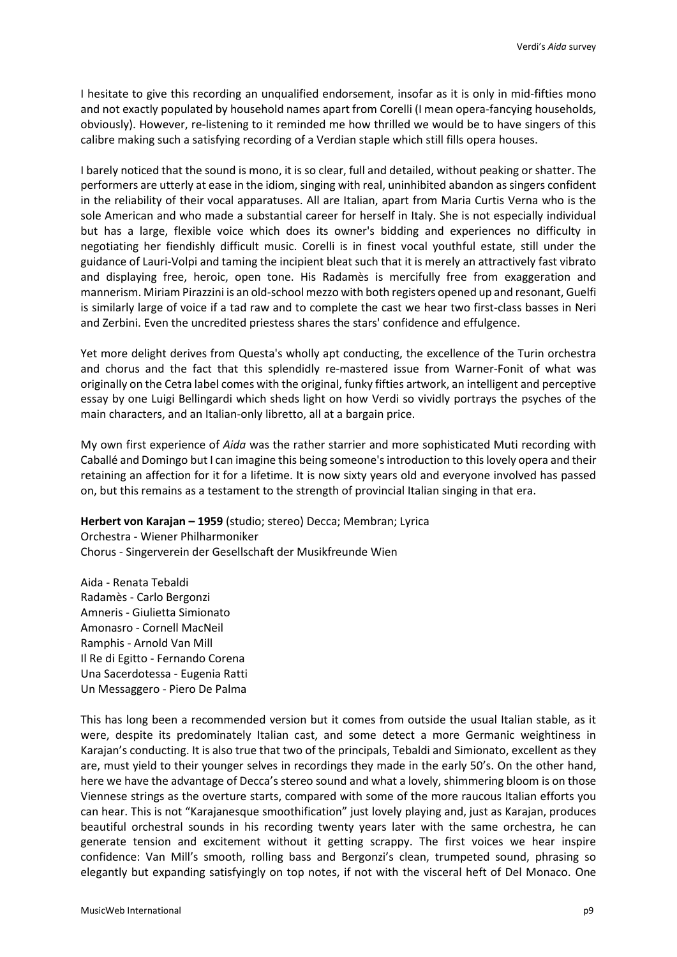I hesitate to give this recording an unqualified endorsement, insofar as it is only in mid-fifties mono and not exactly populated by household names apart from Corelli (I mean opera-fancying households, obviously). However, re-listening to it reminded me how thrilled we would be to have singers of this calibre making such a satisfying recording of a Verdian staple which still fills opera houses.

I barely noticed that the sound is mono, it is so clear, full and detailed, without peaking or shatter. The performers are utterly at ease in the idiom, singing with real, uninhibited abandon as singers confident in the reliability of their vocal apparatuses. All are Italian, apart from Maria Curtis Verna who is the sole American and who made a substantial career for herself in Italy. She is not especially individual but has a large, flexible voice which does its owner's bidding and experiences no difficulty in negotiating her fiendishly difficult music. Corelli is in finest vocal youthful estate, still under the guidance of Lauri-Volpi and taming the incipient bleat such that it is merely an attractively fast vibrato and displaying free, heroic, open tone. His Radamès is mercifully free from exaggeration and mannerism. Miriam Pirazzini is an old-school mezzo with both registers opened up and resonant, Guelfi is similarly large of voice if a tad raw and to complete the cast we hear two first-class basses in Neri and Zerbini. Even the uncredited priestess shares the stars' confidence and effulgence.

Yet more delight derives from Questa's wholly apt conducting, the excellence of the Turin orchestra and chorus and the fact that this splendidly re-mastered issue from Warner-Fonit of what was originally on the Cetra label comes with the original, funky fifties artwork, an intelligent and perceptive essay by one Luigi Bellingardi which sheds light on how Verdi so vividly portrays the psyches of the main characters, and an Italian-only libretto, all at a bargain price.

My own first experience of *Aida* was the rather starrier and more sophisticated Muti recording with Caballé and Domingo but I can imagine this being someone's introduction to this lovely opera and their retaining an affection for it for a lifetime. It is now sixty years old and everyone involved has passed on, but this remains as a testament to the strength of provincial Italian singing in that era.

**Herbert von Karajan – 1959** (studio; stereo) Decca; Membran; Lyrica Orchestra - Wiener Philharmoniker Chorus - Singerverein der Gesellschaft der Musikfreunde Wien

Aida - Renata Tebaldi Radamès - Carlo Bergonzi Amneris - Giulietta Simionato Amonasro - Cornell MacNeil Ramphis - Arnold Van Mill Il Re di Egitto - Fernando Corena Una Sacerdotessa - Eugenia Ratti Un Messaggero - Piero De Palma

This has long been a recommended version but it comes from outside the usual Italian stable, as it were, despite its predominately Italian cast, and some detect a more Germanic weightiness in Karajan's conducting. It is also true that two of the principals, Tebaldi and Simionato, excellent as they are, must yield to their younger selves in recordings they made in the early 50's. On the other hand, here we have the advantage of Decca's stereo sound and what a lovely, shimmering bloom is on those Viennese strings as the overture starts, compared with some of the more raucous Italian efforts you can hear. This is not "Karajanesque smoothification" just lovely playing and, just as Karajan, produces beautiful orchestral sounds in his recording twenty years later with the same orchestra, he can generate tension and excitement without it getting scrappy. The first voices we hear inspire confidence: Van Mill's smooth, rolling bass and Bergonzi's clean, trumpeted sound, phrasing so elegantly but expanding satisfyingly on top notes, if not with the visceral heft of Del Monaco. One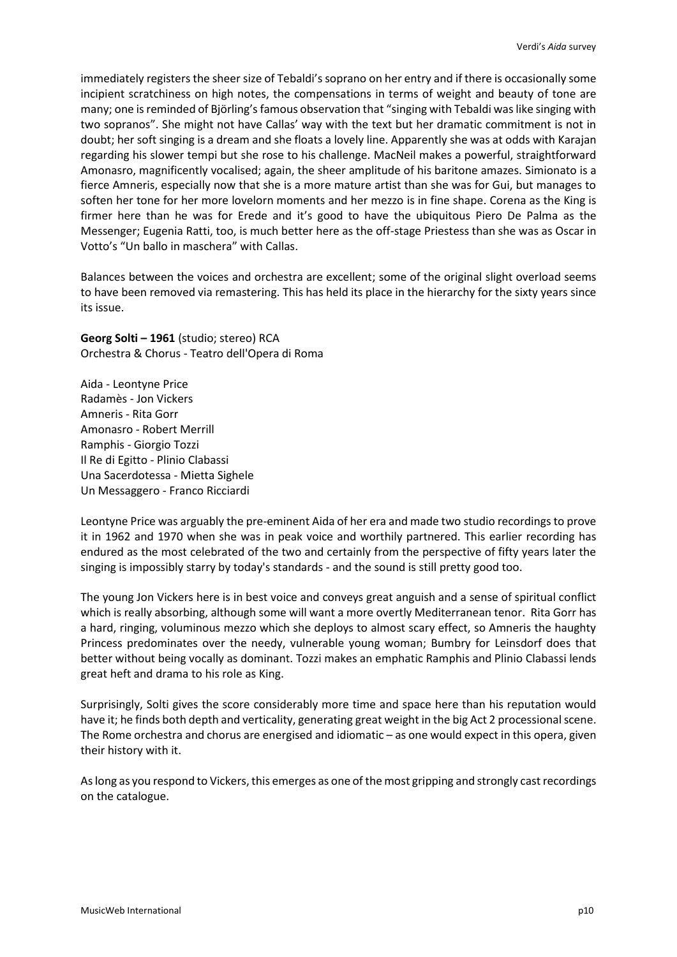immediately registers the sheer size of Tebaldi's soprano on her entry and if there is occasionally some incipient scratchiness on high notes, the compensations in terms of weight and beauty of tone are many; one is reminded of Björling's famous observation that "singing with Tebaldi was like singing with two sopranos". She might not have Callas' way with the text but her dramatic commitment is not in doubt; her soft singing is a dream and she floats a lovely line. Apparently she was at odds with Karajan regarding his slower tempi but she rose to his challenge. MacNeil makes a powerful, straightforward Amonasro, magnificently vocalised; again, the sheer amplitude of his baritone amazes. Simionato is a fierce Amneris, especially now that she is a more mature artist than she was for Gui, but manages to soften her tone for her more lovelorn moments and her mezzo is in fine shape. Corena as the King is firmer here than he was for Erede and it's good to have the ubiquitous Piero De Palma as the Messenger; Eugenia Ratti, too, is much better here as the off-stage Priestess than she was as Oscar in Votto's "Un ballo in maschera" with Callas.

Balances between the voices and orchestra are excellent; some of the original slight overload seems to have been removed via remastering. This has held its place in the hierarchy for the sixty years since its issue.

**Georg Solti – 1961** (studio; stereo) RCA Orchestra & Chorus - Teatro dell'Opera di Roma

Aida - Leontyne Price Radamès - Jon Vickers Amneris - Rita Gorr Amonasro - Robert Merrill Ramphis - Giorgio Tozzi Il Re di Egitto - Plinio Clabassi Una Sacerdotessa - Mietta Sighele Un Messaggero - Franco Ricciardi

Leontyne Price was arguably the pre-eminent Aida of her era and made two studio recordings to prove it in 1962 and 1970 when she was in peak voice and worthily partnered. This earlier recording has endured as the most celebrated of the two and certainly from the perspective of fifty years later the singing is impossibly starry by today's standards - and the sound is still pretty good too.

The young Jon Vickers here is in best voice and conveys great anguish and a sense of spiritual conflict which is really absorbing, although some will want a more overtly Mediterranean tenor. Rita Gorr has a hard, ringing, voluminous mezzo which she deploys to almost scary effect, so Amneris the haughty Princess predominates over the needy, vulnerable young woman; Bumbry for Leinsdorf does that better without being vocally as dominant. Tozzi makes an emphatic Ramphis and Plinio Clabassi lends great heft and drama to his role as King.

Surprisingly, Solti gives the score considerably more time and space here than his reputation would have it; he finds both depth and verticality, generating great weight in the big Act 2 processional scene. The Rome orchestra and chorus are energised and idiomatic – as one would expect in this opera, given their history with it.

As long as you respond to Vickers, this emerges as one of the most gripping and strongly cast recordings on the catalogue.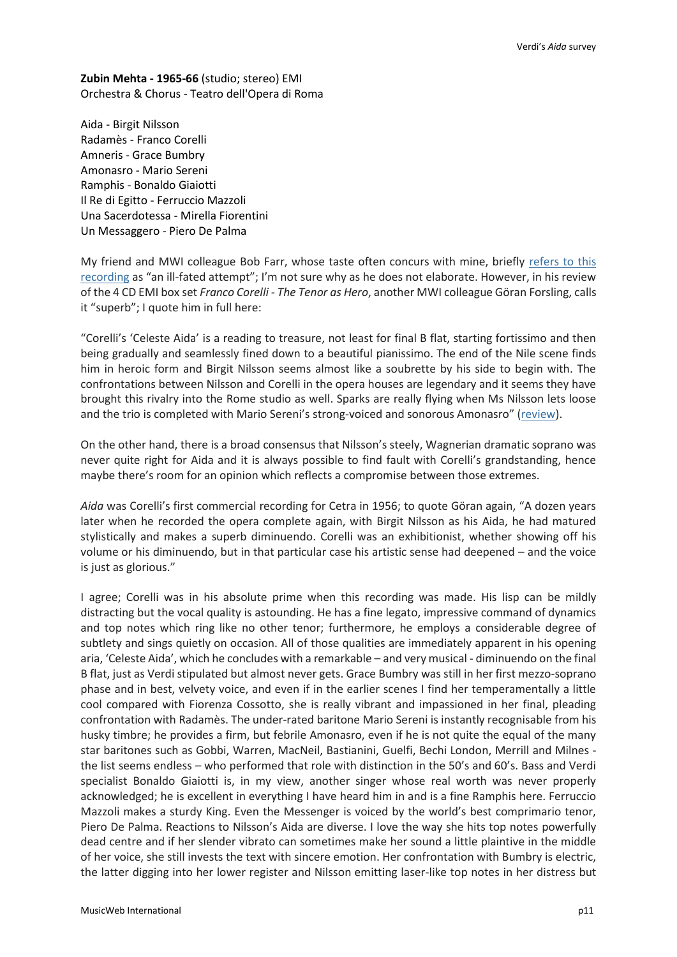**Zubin Mehta - 1965-66** (studio; stereo) EMI Orchestra & Chorus - Teatro dell'Opera di Roma

Aida - Birgit Nilsson Radamès - Franco Corelli Amneris - Grace Bumbry Amonasro - Mario Sereni Ramphis - Bonaldo Giaiotti Il Re di Egitto - Ferruccio Mazzoli Una Sacerdotessa - Mirella Fiorentini Un Messaggero - Piero De Palma

My friend and MWI colleague Bob Farr, whose taste often concurs with mine, briefly refers to this [recording](http://www.musicweb-international.com/classrev/2007/July07/Verdi4_Farr.htm) as "an ill-fated attempt"; I'm not sure why as he does not elaborate. However, in his review of the 4 CD EMI box set *Franco Corelli - The Tenor as Hero*, another MWI colleague Göran Forsling, calls it "superb"; I quote him in full here:

"Corelli's 'Celeste Aida' is a reading to treasure, not least for final B flat, starting fortissimo and then being gradually and seamlessly fined down to a beautiful pianissimo. The end of the Nile scene finds him in heroic form and Birgit Nilsson seems almost like a soubrette by his side to begin with. The confrontations between Nilsson and Corelli in the opera houses are legendary and it seems they have brought this rivalry into the Rome studio as well. Sparks are really flying when Ms Nilsson lets loose and the trio is completed with Mario Sereni's strong-voiced and sonorous Amonasro" ([review\)](http://www.musicweb-international.com/classrev/2009/May09/Corelli_2648872.htm).

On the other hand, there is a broad consensus that Nilsson's steely, Wagnerian dramatic soprano was never quite right for Aida and it is always possible to find fault with Corelli's grandstanding, hence maybe there's room for an opinion which reflects a compromise between those extremes.

*Aida* was Corelli's first commercial recording for Cetra in 1956; to quote Göran again, "A dozen years later when he recorded the opera complete again, with Birgit Nilsson as his Aida, he had matured stylistically and makes a superb diminuendo. Corelli was an exhibitionist, whether showing off his volume or his diminuendo, but in that particular case his artistic sense had deepened – and the voice is just as glorious."

I agree; Corelli was in his absolute prime when this recording was made. His lisp can be mildly distracting but the vocal quality is astounding. He has a fine legato, impressive command of dynamics and top notes which ring like no other tenor; furthermore, he employs a considerable degree of subtlety and sings quietly on occasion. All of those qualities are immediately apparent in his opening aria, 'Celeste Aida', which he concludes with a remarkable – and very musical - diminuendo on the final B flat, just as Verdi stipulated but almost never gets. Grace Bumbry was still in her first mezzo-soprano phase and in best, velvety voice, and even if in the earlier scenes I find her temperamentally a little cool compared with Fiorenza Cossotto, she is really vibrant and impassioned in her final, pleading confrontation with Radamès. The under-rated baritone Mario Sereni is instantly recognisable from his husky timbre; he provides a firm, but febrile Amonasro, even if he is not quite the equal of the many star baritones such as Gobbi, Warren, MacNeil, Bastianini, Guelfi, Bechi London, Merrill and Milnes the list seems endless – who performed that role with distinction in the 50's and 60's. Bass and Verdi specialist Bonaldo Giaiotti is, in my view, another singer whose real worth was never properly acknowledged; he is excellent in everything I have heard him in and is a fine Ramphis here. Ferruccio Mazzoli makes a sturdy King. Even the Messenger is voiced by the world's best comprimario tenor, Piero De Palma. Reactions to Nilsson's Aida are diverse. I love the way she hits top notes powerfully dead centre and if her slender vibrato can sometimes make her sound a little plaintive in the middle of her voice, she still invests the text with sincere emotion. Her confrontation with Bumbry is electric, the latter digging into her lower register and Nilsson emitting laser-like top notes in her distress but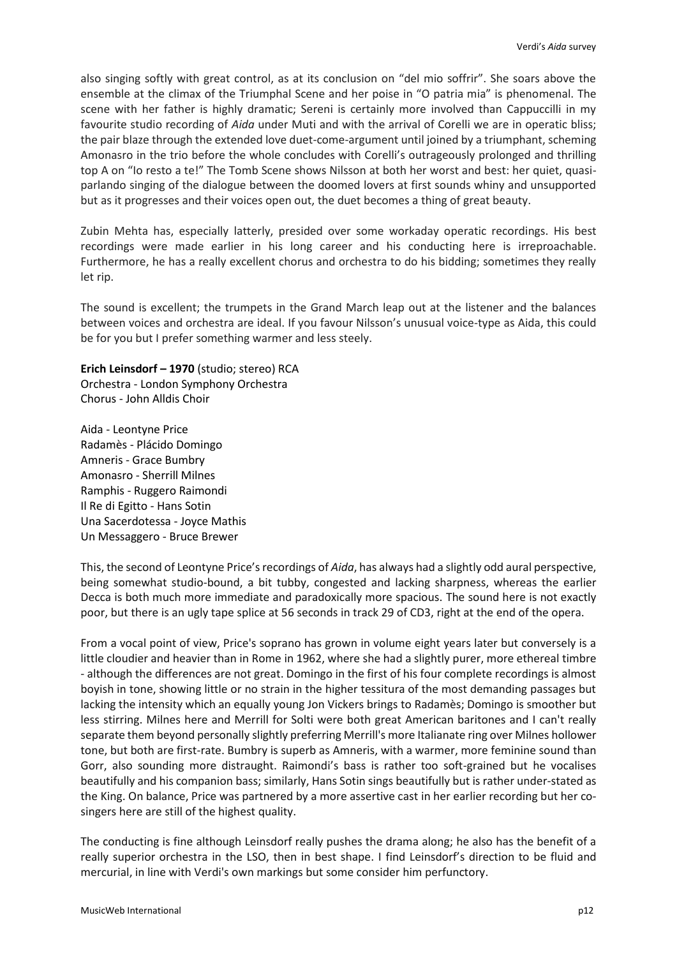also singing softly with great control, as at its conclusion on "del mio soffrir". She soars above the ensemble at the climax of the Triumphal Scene and her poise in "O patria mia" is phenomenal. The scene with her father is highly dramatic; Sereni is certainly more involved than Cappuccilli in my favourite studio recording of *Aida* under Muti and with the arrival of Corelli we are in operatic bliss; the pair blaze through the extended love duet-come-argument until joined by a triumphant, scheming Amonasro in the trio before the whole concludes with Corelli's outrageously prolonged and thrilling top A on "Io resto a te!" The Tomb Scene shows Nilsson at both her worst and best: her quiet, quasiparlando singing of the dialogue between the doomed lovers at first sounds whiny and unsupported but as it progresses and their voices open out, the duet becomes a thing of great beauty.

Zubin Mehta has, especially latterly, presided over some workaday operatic recordings. His best recordings were made earlier in his long career and his conducting here is irreproachable. Furthermore, he has a really excellent chorus and orchestra to do his bidding; sometimes they really let rip.

The sound is excellent; the trumpets in the Grand March leap out at the listener and the balances between voices and orchestra are ideal. If you favour Nilsson's unusual voice-type as Aida, this could be for you but I prefer something warmer and less steely.

## **Erich Leinsdorf – 1970** (studio; stereo) RCA

Orchestra - London Symphony Orchestra Chorus - John Alldis Choir

Aida - Leontyne Price Radamès - Plácido Domingo Amneris - Grace Bumbry Amonasro - Sherrill Milnes Ramphis - Ruggero Raimondi Il Re di Egitto - Hans Sotin Una Sacerdotessa - Joyce Mathis Un Messaggero - Bruce Brewer

This, the second of Leontyne Price's recordings of *Aida*, has always had a slightly odd aural perspective, being somewhat studio-bound, a bit tubby, congested and lacking sharpness, whereas the earlier Decca is both much more immediate and paradoxically more spacious. The sound here is not exactly poor, but there is an ugly tape splice at 56 seconds in track 29 of CD3, right at the end of the opera.

From a vocal point of view, Price's soprano has grown in volume eight years later but conversely is a little cloudier and heavier than in Rome in 1962, where she had a slightly purer, more ethereal timbre - although the differences are not great. Domingo in the first of his four complete recordings is almost boyish in tone, showing little or no strain in the higher tessitura of the most demanding passages but lacking the intensity which an equally young Jon Vickers brings to Radamès; Domingo is smoother but less stirring. Milnes here and Merrill for Solti were both great American baritones and I can't really separate them beyond personally slightly preferring Merrill's more Italianate ring over Milnes hollower tone, but both are first-rate. Bumbry is superb as Amneris, with a warmer, more feminine sound than Gorr, also sounding more distraught. Raimondi's bass is rather too soft-grained but he vocalises beautifully and his companion bass; similarly, Hans Sotin sings beautifully but is rather under-stated as the King. On balance, Price was partnered by a more assertive cast in her earlier recording but her cosingers here are still of the highest quality.

The conducting is fine although Leinsdorf really pushes the drama along; he also has the benefit of a really superior orchestra in the LSO, then in best shape. I find Leinsdorf's direction to be fluid and mercurial, in line with Verdi's own markings but some consider him perfunctory.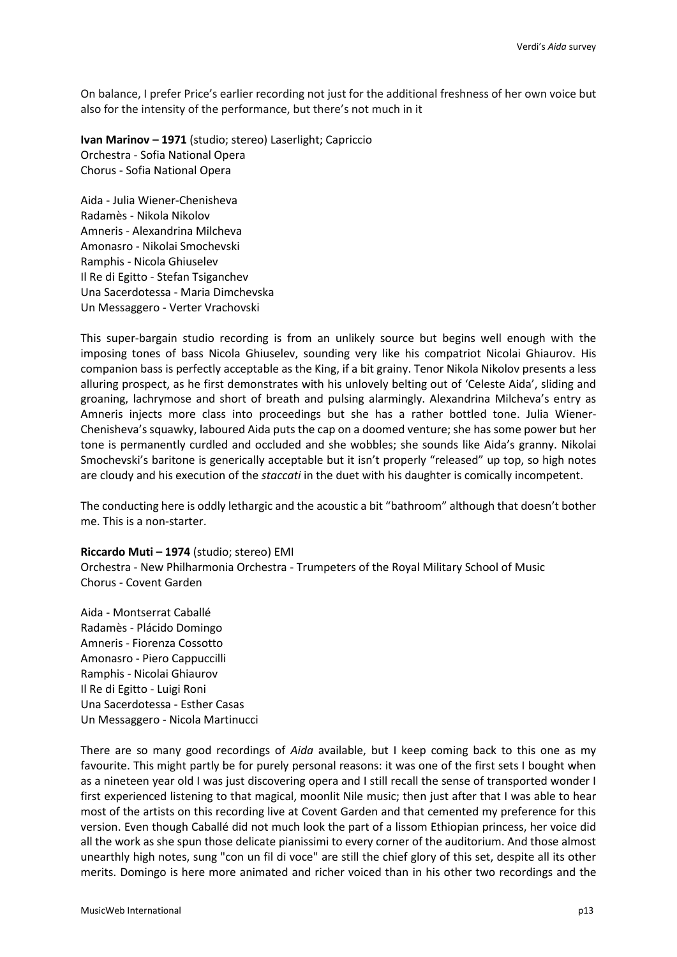On balance, I prefer Price's earlier recording not just for the additional freshness of her own voice but also for the intensity of the performance, but there's not much in it

**Ivan Marinov – 1971** (studio; stereo) Laserlight; Capriccio Orchestra - Sofia National Opera Chorus - Sofia National Opera

Aida - Julia Wiener-Chenisheva Radamès - Nikola Nikolov Amneris - Alexandrina Milcheva Amonasro - Nikolai Smochevski Ramphis - Nicola Ghiuselev Il Re di Egitto - Stefan Tsiganchev Una Sacerdotessa - Maria Dimchevska Un Messaggero - Verter Vrachovski

This super-bargain studio recording is from an unlikely source but begins well enough with the imposing tones of bass Nicola Ghiuselev, sounding very like his compatriot Nicolai Ghiaurov. His companion bass is perfectly acceptable as the King, if a bit grainy. Tenor Nikola Nikolov presents a less alluring prospect, as he first demonstrates with his unlovely belting out of 'Celeste Aida', sliding and groaning, lachrymose and short of breath and pulsing alarmingly. Alexandrina Milcheva's entry as Amneris injects more class into proceedings but she has a rather bottled tone. Julia Wiener-Chenisheva's squawky, laboured Aida puts the cap on a doomed venture; she has some power but her tone is permanently curdled and occluded and she wobbles; she sounds like Aida's granny. Nikolai Smochevski's baritone is generically acceptable but it isn't properly "released" up top, so high notes are cloudy and his execution of the *staccati* in the duet with his daughter is comically incompetent.

The conducting here is oddly lethargic and the acoustic a bit "bathroom" although that doesn't bother me. This is a non-starter.

### **Riccardo Muti – 1974** (studio; stereo) EMI

Orchestra - New Philharmonia Orchestra - Trumpeters of the Royal Military School of Music Chorus - Covent Garden

Aida - Montserrat Caballé Radamès - Plácido Domingo Amneris - Fiorenza Cossotto Amonasro - Piero Cappuccilli Ramphis - Nicolai Ghiaurov Il Re di Egitto - Luigi Roni Una Sacerdotessa - Esther Casas Un Messaggero - Nicola Martinucci

There are so many good recordings of *Aida* available, but I keep coming back to this one as my favourite. This might partly be for purely personal reasons: it was one of the first sets I bought when as a nineteen year old I was just discovering opera and I still recall the sense of transported wonder I first experienced listening to that magical, moonlit Nile music; then just after that I was able to hear most of the artists on this recording live at Covent Garden and that cemented my preference for this version. Even though Caballé did not much look the part of a lissom Ethiopian princess, her voice did all the work as she spun those delicate pianissimi to every corner of the auditorium. And those almost unearthly high notes, sung "con un fil di voce" are still the chief glory of this set, despite all its other merits. Domingo is here more animated and richer voiced than in his other two recordings and the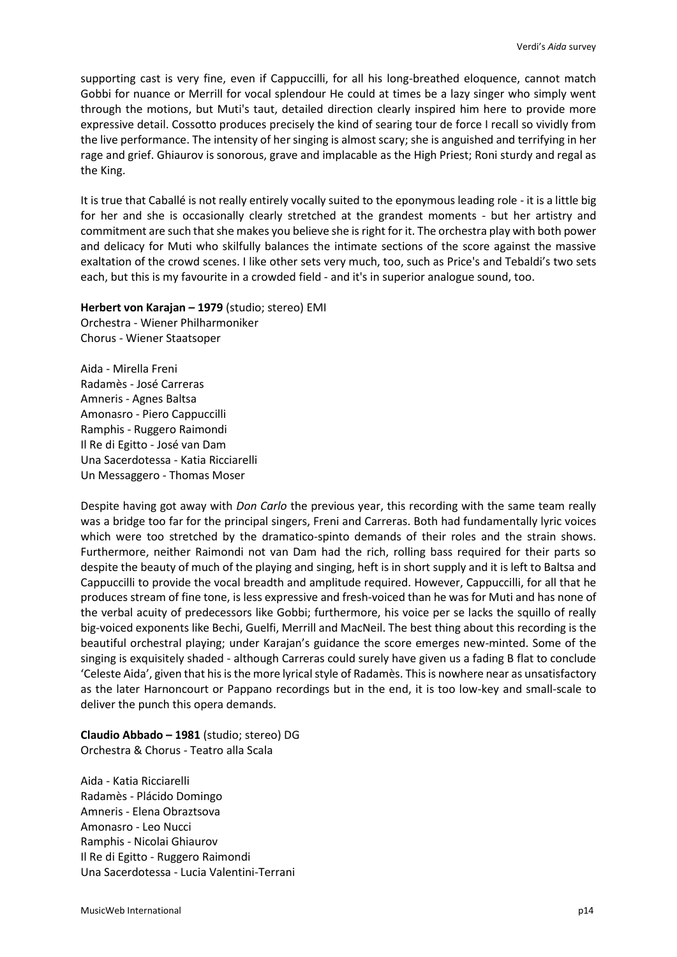supporting cast is very fine, even if Cappuccilli, for all his long-breathed eloquence, cannot match Gobbi for nuance or Merrill for vocal splendour He could at times be a lazy singer who simply went through the motions, but Muti's taut, detailed direction clearly inspired him here to provide more expressive detail. Cossotto produces precisely the kind of searing tour de force I recall so vividly from the live performance. The intensity of her singing is almost scary; she is anguished and terrifying in her rage and grief. Ghiaurov is sonorous, grave and implacable as the High Priest; Roni sturdy and regal as the King.

It is true that Caballé is not really entirely vocally suited to the eponymous leading role - it is a little big for her and she is occasionally clearly stretched at the grandest moments - but her artistry and commitment are such that she makes you believe she is right for it. The orchestra play with both power and delicacy for Muti who skilfully balances the intimate sections of the score against the massive exaltation of the crowd scenes. I like other sets very much, too, such as Price's and Tebaldi's two sets each, but this is my favourite in a crowded field - and it's in superior analogue sound, too.

**Herbert von Karajan – 1979** (studio; stereo) EMI Orchestra - Wiener Philharmoniker Chorus - Wiener Staatsoper

Aida - Mirella Freni Radamès - José Carreras Amneris - Agnes Baltsa Amonasro - Piero Cappuccilli Ramphis - Ruggero Raimondi Il Re di Egitto - José van Dam Una Sacerdotessa - Katia Ricciarelli Un Messaggero - Thomas Moser

Despite having got away with *Don Carlo* the previous year, this recording with the same team really was a bridge too far for the principal singers, Freni and Carreras. Both had fundamentally lyric voices which were too stretched by the dramatico-spinto demands of their roles and the strain shows. Furthermore, neither Raimondi not van Dam had the rich, rolling bass required for their parts so despite the beauty of much of the playing and singing, heft is in short supply and it is left to Baltsa and Cappuccilli to provide the vocal breadth and amplitude required. However, Cappuccilli, for all that he produces stream of fine tone, is less expressive and fresh-voiced than he was for Muti and has none of the verbal acuity of predecessors like Gobbi; furthermore, his voice per se lacks the squillo of really big-voiced exponents like Bechi, Guelfi, Merrill and MacNeil. The best thing about this recording is the beautiful orchestral playing; under Karajan's guidance the score emerges new-minted. Some of the singing is exquisitely shaded - although Carreras could surely have given us a fading B flat to conclude 'Celeste Aida', given that his is the more lyrical style of Radamès. This is nowhere near as unsatisfactory as the later Harnoncourt or Pappano recordings but in the end, it is too low-key and small-scale to deliver the punch this opera demands.

**Claudio Abbado – 1981** (studio; stereo) DG

Orchestra & Chorus - Teatro alla Scala

Aida - Katia Ricciarelli Radamès - Plácido Domingo Amneris - Elena Obraztsova Amonasro - Leo Nucci Ramphis - Nicolai Ghiaurov Il Re di Egitto - Ruggero Raimondi Una Sacerdotessa - Lucia Valentini-Terrani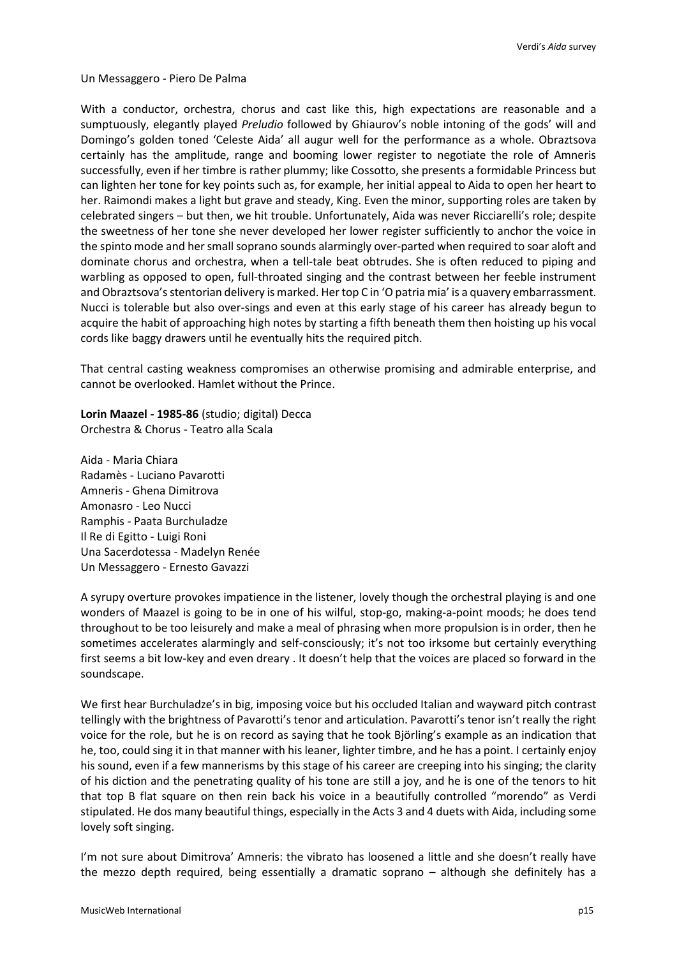Un Messaggero - Piero De Palma

With a conductor, orchestra, chorus and cast like this, high expectations are reasonable and a sumptuously, elegantly played *Preludio* followed by Ghiaurov's noble intoning of the gods' will and Domingo's golden toned 'Celeste Aida' all augur well for the performance as a whole. Obraztsova certainly has the amplitude, range and booming lower register to negotiate the role of Amneris successfully, even if her timbre is rather plummy; like Cossotto, she presents a formidable Princess but can lighten her tone for key points such as, for example, her initial appeal to Aida to open her heart to her. Raimondi makes a light but grave and steady, King. Even the minor, supporting roles are taken by celebrated singers – but then, we hit trouble. Unfortunately, Aida was never Ricciarelli's role; despite the sweetness of her tone she never developed her lower register sufficiently to anchor the voice in the spinto mode and her small soprano sounds alarmingly over-parted when required to soar aloft and dominate chorus and orchestra, when a tell-tale beat obtrudes. She is often reduced to piping and warbling as opposed to open, full-throated singing and the contrast between her feeble instrument and Obraztsova's stentorian delivery is marked. Her top C in 'O patria mia' is a quavery embarrassment. Nucci is tolerable but also over-sings and even at this early stage of his career has already begun to acquire the habit of approaching high notes by starting a fifth beneath them then hoisting up his vocal cords like baggy drawers until he eventually hits the required pitch.

That central casting weakness compromises an otherwise promising and admirable enterprise, and cannot be overlooked. Hamlet without the Prince.

**Lorin Maazel - 1985-86** (studio; digital) Decca Orchestra & Chorus - Teatro alla Scala

Aida - Maria Chiara Radamès - Luciano Pavarotti Amneris - Ghena Dimitrova Amonasro - Leo Nucci Ramphis - Paata Burchuladze Il Re di Egitto - Luigi Roni Una Sacerdotessa - Madelyn Renée Un Messaggero - Ernesto Gavazzi

A syrupy overture provokes impatience in the listener, lovely though the orchestral playing is and one wonders of Maazel is going to be in one of his wilful, stop-go, making-a-point moods; he does tend throughout to be too leisurely and make a meal of phrasing when more propulsion is in order, then he sometimes accelerates alarmingly and self-consciously; it's not too irksome but certainly everything first seems a bit low-key and even dreary . It doesn't help that the voices are placed so forward in the soundscape.

We first hear Burchuladze's in big, imposing voice but his occluded Italian and wayward pitch contrast tellingly with the brightness of Pavarotti's tenor and articulation. Pavarotti's tenor isn't really the right voice for the role, but he is on record as saying that he took Björling's example as an indication that he, too, could sing it in that manner with his leaner, lighter timbre, and he has a point. I certainly enjoy his sound, even if a few mannerisms by this stage of his career are creeping into his singing; the clarity of his diction and the penetrating quality of his tone are still a joy, and he is one of the tenors to hit that top B flat square on then rein back his voice in a beautifully controlled "morendo" as Verdi stipulated. He dos many beautiful things, especially in the Acts 3 and 4 duets with Aida, including some lovely soft singing.

I'm not sure about Dimitrova' Amneris: the vibrato has loosened a little and she doesn't really have the mezzo depth required, being essentially a dramatic soprano – although she definitely has a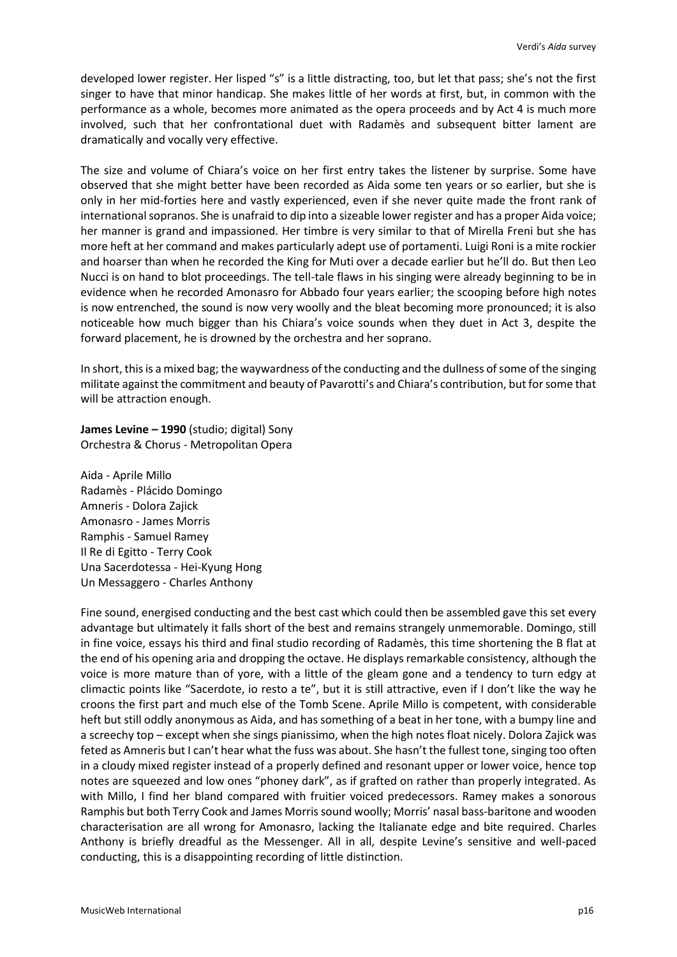developed lower register. Her lisped "s" is a little distracting, too, but let that pass; she's not the first singer to have that minor handicap. She makes little of her words at first, but, in common with the performance as a whole, becomes more animated as the opera proceeds and by Act 4 is much more involved, such that her confrontational duet with Radamès and subsequent bitter lament are dramatically and vocally very effective.

The size and volume of Chiara's voice on her first entry takes the listener by surprise. Some have observed that she might better have been recorded as Aida some ten years or so earlier, but she is only in her mid-forties here and vastly experienced, even if she never quite made the front rank of international sopranos. She is unafraid to dip into a sizeable lower register and has a proper Aida voice; her manner is grand and impassioned. Her timbre is very similar to that of Mirella Freni but she has more heft at her command and makes particularly adept use of portamenti. Luigi Roni is a mite rockier and hoarser than when he recorded the King for Muti over a decade earlier but he'll do. But then Leo Nucci is on hand to blot proceedings. The tell-tale flaws in his singing were already beginning to be in evidence when he recorded Amonasro for Abbado four years earlier; the scooping before high notes is now entrenched, the sound is now very woolly and the bleat becoming more pronounced; it is also noticeable how much bigger than his Chiara's voice sounds when they duet in Act 3, despite the forward placement, he is drowned by the orchestra and her soprano.

In short, this is a mixed bag; the waywardness of the conducting and the dullness of some of the singing militate against the commitment and beauty of Pavarotti's and Chiara's contribution, but for some that will be attraction enough.

**James Levine – 1990** (studio; digital) Sony Orchestra & Chorus - Metropolitan Opera

Aida - Aprile Millo Radamès - Plácido Domingo Amneris - Dolora Zajick Amonasro - James Morris Ramphis - Samuel Ramey Il Re di Egitto - Terry Cook Una Sacerdotessa - Hei-Kyung Hong Un Messaggero - Charles Anthony

Fine sound, energised conducting and the best cast which could then be assembled gave this set every advantage but ultimately it falls short of the best and remains strangely unmemorable. Domingo, still in fine voice, essays his third and final studio recording of Radamès, this time shortening the B flat at the end of his opening aria and dropping the octave. He displays remarkable consistency, although the voice is more mature than of yore, with a little of the gleam gone and a tendency to turn edgy at climactic points like "Sacerdote, io resto a te", but it is still attractive, even if I don't like the way he croons the first part and much else of the Tomb Scene. Aprile Millo is competent, with considerable heft but still oddly anonymous as Aida, and has something of a beat in her tone, with a bumpy line and a screechy top – except when she sings pianissimo, when the high notes float nicely. Dolora Zajick was feted as Amneris but I can't hear what the fuss was about. She hasn't the fullest tone, singing too often in a cloudy mixed register instead of a properly defined and resonant upper or lower voice, hence top notes are squeezed and low ones "phoney dark", as if grafted on rather than properly integrated. As with Millo, I find her bland compared with fruitier voiced predecessors. Ramey makes a sonorous Ramphis but both Terry Cook and James Morris sound woolly; Morris' nasal bass-baritone and wooden characterisation are all wrong for Amonasro, lacking the Italianate edge and bite required. Charles Anthony is briefly dreadful as the Messenger. All in all, despite Levine's sensitive and well-paced conducting, this is a disappointing recording of little distinction.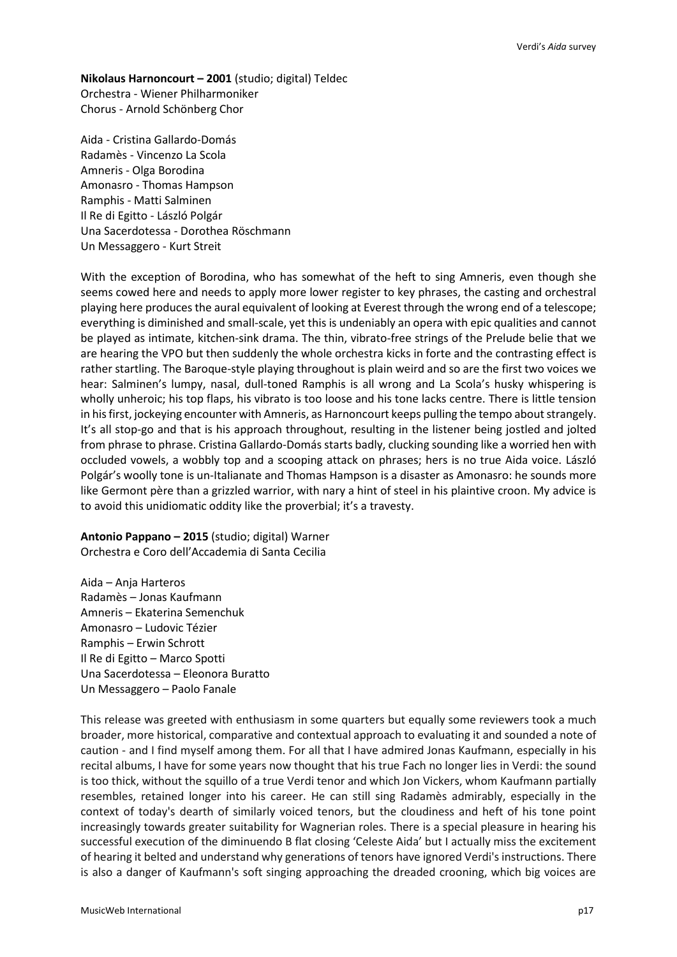**Nikolaus Harnoncourt – 2001** (studio; digital) Teldec Orchestra - Wiener Philharmoniker Chorus - Arnold Schönberg Chor

Aida - Cristina Gallardo-Domás Radamès - Vincenzo La Scola Amneris - Olga Borodina Amonasro - Thomas Hampson Ramphis - Matti Salminen Il Re di Egitto - László Polgár Una Sacerdotessa - Dorothea Röschmann Un Messaggero - Kurt Streit

With the exception of Borodina, who has somewhat of the heft to sing Amneris, even though she seems cowed here and needs to apply more lower register to key phrases, the casting and orchestral playing here produces the aural equivalent of looking at Everest through the wrong end of a telescope; everything is diminished and small-scale, yet this is undeniably an opera with epic qualities and cannot be played as intimate, kitchen-sink drama. The thin, vibrato-free strings of the Prelude belie that we are hearing the VPO but then suddenly the whole orchestra kicks in forte and the contrasting effect is rather startling. The Baroque-style playing throughout is plain weird and so are the first two voices we hear: Salminen's lumpy, nasal, dull-toned Ramphis is all wrong and La Scola's husky whispering is wholly unheroic; his top flaps, his vibrato is too loose and his tone lacks centre. There is little tension in his first, jockeying encounter with Amneris, as Harnoncourt keeps pulling the tempo about strangely. It's all stop-go and that is his approach throughout, resulting in the listener being jostled and jolted from phrase to phrase. Cristina Gallardo-Domás starts badly, clucking sounding like a worried hen with occluded vowels, a wobbly top and a scooping attack on phrases; hers is no true Aida voice. László Polgár's woolly tone is un-Italianate and Thomas Hampson is a disaster as Amonasro: he sounds more like Germont père than a grizzled warrior, with nary a hint of steel in his plaintive croon. My advice is to avoid this unidiomatic oddity like the proverbial; it's a travesty.

**Antonio Pappano – 2015** (studio; digital) Warner Orchestra e Coro dell'Accademia di Santa Cecilia

Aida – Anja Harteros Radamès – Jonas Kaufmann Amneris – Ekaterina Semenchuk Amonasro – Ludovic Tézier Ramphis – Erwin Schrott Il Re di Egitto – Marco Spotti Una Sacerdotessa – Eleonora Buratto Un Messaggero – Paolo Fanale

This release was greeted with enthusiasm in some quarters but equally some reviewers took a much broader, more historical, comparative and contextual approach to evaluating it and sounded a note of caution - and I find myself among them. For all that I have admired Jonas Kaufmann, especially in his recital albums, I have for some years now thought that his true Fach no longer lies in Verdi: the sound is too thick, without the squillo of a true Verdi tenor and which Jon Vickers, whom Kaufmann partially resembles, retained longer into his career. He can still sing Radamès admirably, especially in the context of today's dearth of similarly voiced tenors, but the cloudiness and heft of his tone point increasingly towards greater suitability for Wagnerian roles. There is a special pleasure in hearing his successful execution of the diminuendo B flat closing 'Celeste Aida' but I actually miss the excitement of hearing it belted and understand why generations of tenors have ignored Verdi's instructions. There is also a danger of Kaufmann's soft singing approaching the dreaded crooning, which big voices are